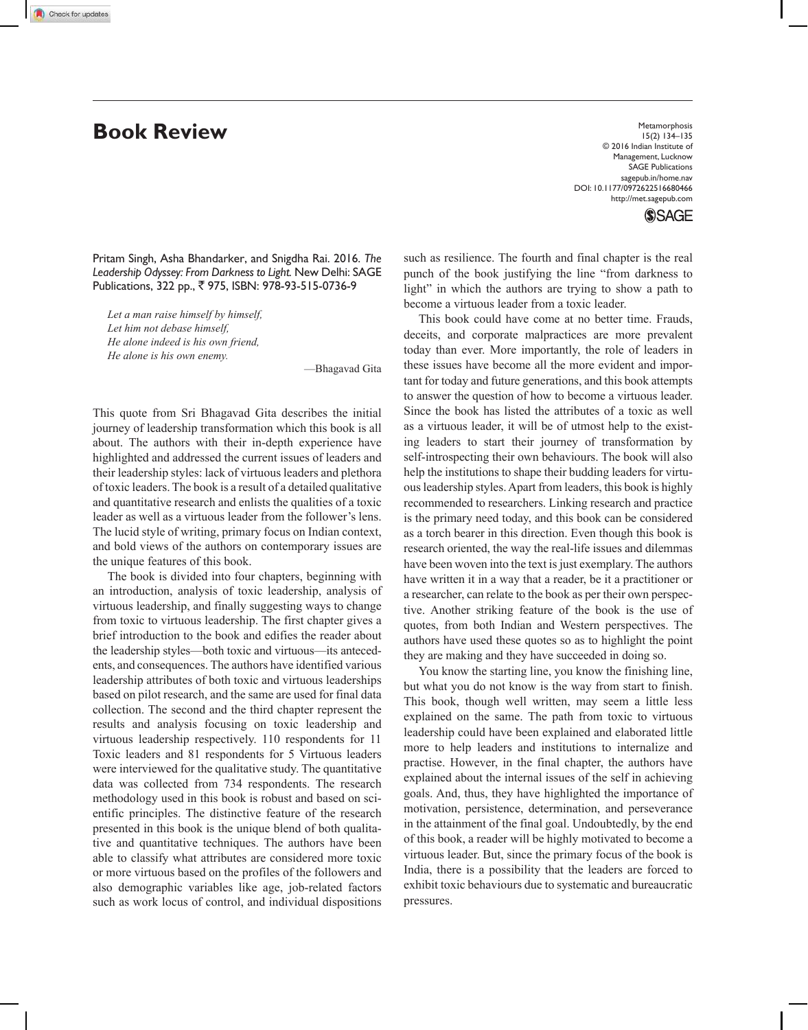**Book Review** Metamorphosis **Book** Network **Review** 15(2) 134–135 © 2016 Indian Institute of Management, Lucknow SAGE Publications sagepub.in/home.nav DOI: 10.1177/0972622516680466 http://met.sagepub.com

**SSAGE** 

Pritam Singh, Asha Bhandarker, and Snigdha Rai. 2016. *The Leadership Odyssey: From Darkness to Light.* New Delhi: SAGE Publications, 322 pp., ₹ 975, ISBN: 978-93-515-0736-9

*Let a man raise himself by himself, Let him not debase himself, He alone indeed is his own friend, He alone is his own enemy.*

—Bhagavad Gita

This quote from Sri Bhagavad Gita describes the initial journey of leadership transformation which this book is all about. The authors with their in-depth experience have highlighted and addressed the current issues of leaders and their leadership styles: lack of virtuous leaders and plethora of toxic leaders. The book is a result of a detailed qualitative and quantitative research and enlists the qualities of a toxic leader as well as a virtuous leader from the follower's lens. The lucid style of writing, primary focus on Indian context, and bold views of the authors on contemporary issues are the unique features of this book.

The book is divided into four chapters, beginning with an introduction, analysis of toxic leadership, analysis of virtuous leadership, and finally suggesting ways to change from toxic to virtuous leadership. The first chapter gives a brief introduction to the book and edifies the reader about the leadership styles—both toxic and virtuous—its antecedents, and consequences. The authors have identified various leadership attributes of both toxic and virtuous leaderships based on pilot research, and the same are used for final data collection. The second and the third chapter represent the results and analysis focusing on toxic leadership and virtuous leadership respectively. 110 respondents for 11 Toxic leaders and 81 respondents for 5 Virtuous leaders were interviewed for the qualitative study. The quantitative data was collected from 734 respondents. The research methodology used in this book is robust and based on scientific principles. The distinctive feature of the research presented in this book is the unique blend of both qualitative and quantitative techniques. The authors have been able to classify what attributes are considered more toxic or more virtuous based on the profiles of the followers and also demographic variables like age, job-related factors such as work locus of control, and individual dispositions such as resilience. The fourth and final chapter is the real punch of the book justifying the line "from darkness to light" in which the authors are trying to show a path to become a virtuous leader from a toxic leader.

This book could have come at no better time. Frauds, deceits, and corporate malpractices are more prevalent today than ever. More importantly, the role of leaders in these issues have become all the more evident and important for today and future generations, and this book attempts to answer the question of how to become a virtuous leader. Since the book has listed the attributes of a toxic as well as a virtuous leader, it will be of utmost help to the existing leaders to start their journey of transformation by self-introspecting their own behaviours. The book will also help the institutions to shape their budding leaders for virtuous leadership styles. Apart from leaders, this book is highly recommended to researchers. Linking research and practice is the primary need today, and this book can be considered as a torch bearer in this direction. Even though this book is research oriented, the way the real-life issues and dilemmas have been woven into the text is just exemplary. The authors have written it in a way that a reader, be it a practitioner or a researcher, can relate to the book as per their own perspective. Another striking feature of the book is the use of quotes, from both Indian and Western perspectives. The authors have used these quotes so as to highlight the point they are making and they have succeeded in doing so.

You know the starting line, you know the finishing line, but what you do not know is the way from start to finish. This book, though well written, may seem a little less explained on the same. The path from toxic to virtuous leadership could have been explained and elaborated little more to help leaders and institutions to internalize and practise. However, in the final chapter, the authors have explained about the internal issues of the self in achieving goals. And, thus, they have highlighted the importance of motivation, persistence, determination, and perseverance in the attainment of the final goal. Undoubtedly, by the end of this book, a reader will be highly motivated to become a virtuous leader. But, since the primary focus of the book is India, there is a possibility that the leaders are forced to exhibit toxic behaviours due to systematic and bureaucratic pressures.